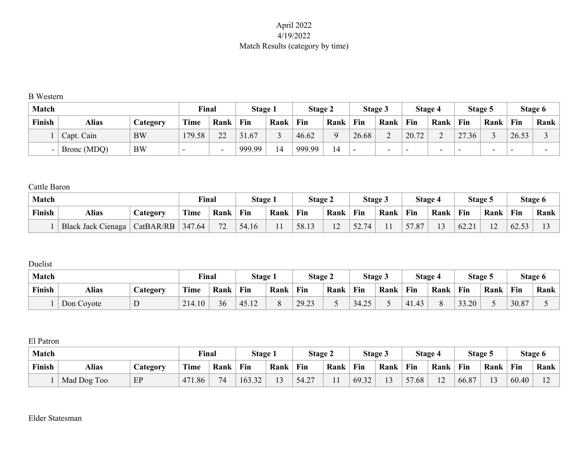# April 2022 4/19/2022 Match Results (category by time)

#### B Western

| <b>Match</b> |             |           | Final  |                          | Stage 1 |      | <b>Stage 2</b> |      |       | Stage 3                  |       | Stage 4                  |       | Stage 5                  |       | Stage 6 |
|--------------|-------------|-----------|--------|--------------------------|---------|------|----------------|------|-------|--------------------------|-------|--------------------------|-------|--------------------------|-------|---------|
| Finish       | Alias       | Category  | Time   | Rank                     | Fin     | Rank | Fin            | Rank | Fin   | Rank                     | Fin   | Rank                     | Fin   | Rank                     | Fin   | Rank    |
|              | Capt. Cain  | <b>BW</b> | 179.58 | 22                       | 31.67   |      | 46.62          |      | 26.68 | $\overline{\phantom{0}}$ | 20.72 | ⌒                        | 27.36 |                          | 26.53 |         |
|              | Bronc (MDQ) | <b>BW</b> | $\sim$ | $\overline{\phantom{0}}$ | 999.99  | 14   | 999.99         | 14   | -     | $\overline{\phantom{0}}$ | -     | $\overline{\phantom{0}}$ | -     | $\overline{\phantom{0}}$ |       |         |

## Cattle Baron

| <b>Match</b> |                           |           | Final       |           | Stage 1 |      | <b>Stage 2</b> |                       |       | <b>Stage 3</b> |       | Stage 4 | Stage: |               |       | Stage 6 |
|--------------|---------------------------|-----------|-------------|-----------|---------|------|----------------|-----------------------|-------|----------------|-------|---------|--------|---------------|-------|---------|
| Finish       | Alias<br>Category         |           | <b>Time</b> | Rank      | Fin     | Rank | Fin            | Rank                  | Fin   | Rank           | Fin   | Rank    | Fin    | Rank          | Fin   | Rank    |
|              | <b>Black Jack Cienaga</b> | CatBAR/RB | 347.64      | 72<br>ے ا | 54.16   |      | 58.13          | 1 <sub>2</sub><br>- ⊥ | 52.74 |                | 57.87 | $\sim$  | 62.21  | $\sim$<br>- ⊥ | 62.53 |         |

## Duelist

| <b>Match</b> |              |                 | $\nabla$ inal |      | <b>Stage 1</b> |      | <b>Stage 2</b> |      |       | Stage 3 |             | Stage 4 | Stage 5 |      |       | Stage 6 |
|--------------|--------------|-----------------|---------------|------|----------------|------|----------------|------|-------|---------|-------------|---------|---------|------|-------|---------|
| Finish       | <b>Alias</b> | <b>Category</b> | <b>Time</b>   | Rank | Fin            | Rank | Fin            | Rank | Fin   | Rank    | Fin         | Rank    | Fin     | Rank | Fin   | Rank    |
|              | Don Coyote   | ◡               | 214.10        | 36   | 45.12          |      | 29.23          |      | 34.25 |         | 41.43<br>41 |         | 33.20   |      | 30.87 |         |

#### El Patron

| <b>Match</b> |                                                        |    | Final      |     | Stage i |        | <b>Stage 2</b> |     |       | Stage 3      |           | <b>Stage 4</b>           | Stage . |                |       | Stage 6                  |
|--------------|--------------------------------------------------------|----|------------|-----|---------|--------|----------------|-----|-------|--------------|-----------|--------------------------|---------|----------------|-------|--------------------------|
| Finish       | Fin<br><b>Time</b><br>Rank<br>Alias<br><b>Lategory</b> |    | Rank       | Fin | Rank    | Fin    | Rank           | Fin | Rank  | Fin          | Rank      | Fin                      | Rank    |                |       |                          |
|              | Mad Dog Too                                            | EP | 471<br>.86 | 74  | 163.32  | $\sim$ | 54.27          |     | 69.32 | $\sim$<br>IJ | --<br>.68 | $\sim$<br>$\overline{2}$ | 66.87   | 1 <sub>2</sub> | 60.40 | $\sim$<br>$\overline{1}$ |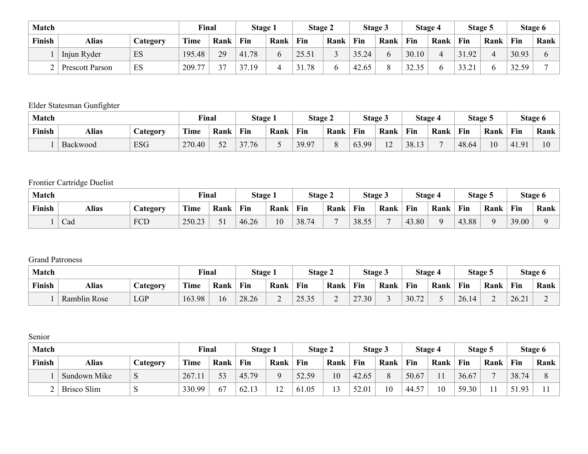| <b>Match</b> |                        |          | <b>Final</b> |      | <b>Stage 1</b>       |      | Stage 2 |      |       | Stage 3 |       | Stage 4 |       | Stage 5 |       | Stage 6 |
|--------------|------------------------|----------|--------------|------|----------------------|------|---------|------|-------|---------|-------|---------|-------|---------|-------|---------|
| Finish       | Alias                  | Category | Time         | Rank | Fin                  | Rank | Fin     | Rank | Fin   | Rank    | Fin   | Rank    | Fin   | Rank    | Fin   | Rank    |
|              | Injun Ryder            | ES       | 195.48       | 29   | 41.78                |      | 25.51   |      | 35.24 |         | 30.10 |         | .92   | ∠       | 30.93 |         |
|              | <b>Prescott Parson</b> | ES       | 209.77       | 27   | 37<br>1 <sup>Q</sup> |      | .78     |      | 42.65 |         | 32.35 |         | 33.21 |         | 32.59 |         |

# Elder Statesman Gunfighter

| <b>Match</b> |          |                       | Final       |                  | Stage 1 |      | <b>Stage 2</b> |          |       | Stage 3               | Stage 4 |      | Stage 5 |      |       | Stage 6                 |
|--------------|----------|-----------------------|-------------|------------------|---------|------|----------------|----------|-------|-----------------------|---------|------|---------|------|-------|-------------------------|
| Finish       | Alias    | $\mathcal{L}$ ategory | <b>Time</b> | Rank             | Fin     | Rank | Fin            | Rank     | Fin   | Rank                  | Fin     | Rank | Fin     | Rank | Fin   | Rank                    |
|              | Backwood | <b>ESG</b>            | 270.40      | $\epsilon$<br>ΣŹ | 37.76   |      | 39.97          | $\Omega$ | 63.99 | 1 <sub>0</sub><br>- ⊥ | 38.13   |      | 48.64   | 10   | 41.91 | $\mathbf{1} \cap$<br>ιv |

# Frontier Cartridge Duelist

| Match  |                   |     | <b>Final</b> |      | <b>Stage 1</b> |      | <b>Stage 2</b> |      |             | Stage 3 |                         | Stage 4 | Stage 5    |      |       | Stage 6 |
|--------|-------------------|-----|--------------|------|----------------|------|----------------|------|-------------|---------|-------------------------|---------|------------|------|-------|---------|
| Finish | Alias<br>Category |     | Time         | Rank | Fin            | Rank | Fin            | Rank | Fin         | Rank    | Fin                     | Rank    | Fin        | Rank | Fin   | Rank    |
|        | Cad               | FCD | 250.23       | $-1$ | 46.26          | 10   | 38.74          |      | 38.55<br>55 |         | 4 <sup>3</sup><br>43.80 | $\sim$  | 43.88<br>4 |      | 39.00 |         |

## Grand Patroness

| <b>Match</b> |                     |                | Final       |      | Stage i |      | <b>Stage 2</b>  |      | Stage 5 |      | Stage 4 |      | Stage . |      |       | Stage 6 |
|--------------|---------------------|----------------|-------------|------|---------|------|-----------------|------|---------|------|---------|------|---------|------|-------|---------|
| Finish       | Alias               | <b>Ategory</b> | <b>Time</b> | Rank | Fin     | Rank | Fin             | Rank | Fin     | Rank | Fin     | Rank | Fin     | Rank | Fin   | Rank    |
|              | <b>Ramblin Rose</b> | <b>LGP</b>     | 163.98      | 16   | 28.26   | ∼    | 252<br>ر د. ر ۱ | ∼    | 27.30   |      | 30.72   |      | 26.14   |      | 26.21 | ∼       |

## Senior

| <b>Match</b> |                    |          | Final  |      | Stage 1 |                       | Stage 2 |      |       | Stage 3 |                 | <b>Stage 4</b> |       | Stage 5 |           | Stage 6 |
|--------------|--------------------|----------|--------|------|---------|-----------------------|---------|------|-------|---------|-----------------|----------------|-------|---------|-----------|---------|
| Finish       | Alias              | Category | Time   | Rank | Fin     | Rank                  | Fin     | Rank | Fin   | Rank    | Fin             | Rank           | Fin   | Rank    | Fin       | Rank    |
|              | Sundown Mike       | P        | 267.11 | 53   | 45.79   |                       | 52.59   | 10   | 42.65 |         | 50.67           | $\blacksquare$ | 36.67 |         | 38.74     |         |
|              | <b>Brisco Slim</b> | N        | 330.99 | 67   | 62.1    | 1 <sub>0</sub><br>- ⊥ | 61.05   |      | 52.01 | 10      | 57<br>44<br>ن . | 10             | 59.30 |         | .93<br>51 |         |